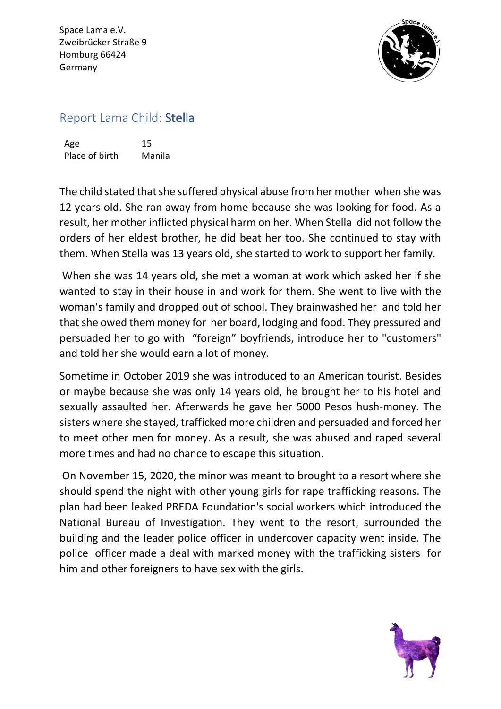Space Lama e.V. Zweibrücker Straße 9 Homburg 66424 Germany



## Report Lama Child: Stella

Age 15 Place of birth Manila

The child stated that she suffered physical abuse from her mother when she was 12 years old. She ran away from home because she was looking for food. As a result, her mother inflicted physical harm on her. When Stella did not follow the orders of her eldest brother, he did beat her too. She continued to stay with them. When Stella was 13 years old, she started to work to support her family.

When she was 14 years old, she met a woman at work which asked her if she wanted to stay in their house in and work for them. She went to live with the woman's family and dropped out of school. They brainwashed her and told her that she owed them money for her board, lodging and food. They pressured and persuaded her to go with "foreign" boyfriends, introduce her to "customers" and told her she would earn a lot of money.

Sometime in October 2019 she was introduced to an American tourist. Besides or maybe because she was only 14 years old, he brought her to his hotel and sexually assaulted her. Afterwards he gave her 5000 Pesos hush-money. The sisters where she stayed, trafficked more children and persuaded and forced her to meet other men for money. As a result, she was abused and raped several more times and had no chance to escape this situation.

On November 15, 2020, the minor was meant to brought to a resort where she should spend the night with other young girls for rape trafficking reasons. The plan had been leaked PREDA Foundation's social workers which introduced the National Bureau of Investigation. They went to the resort, surrounded the building and the leader police officer in undercover capacity went inside. The police officer made a deal with marked money with the trafficking sisters for him and other foreigners to have sex with the girls.

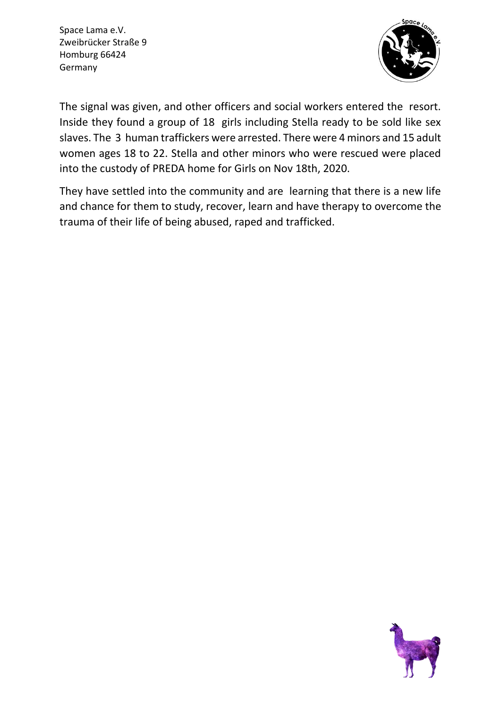Space Lama e.V. Zweibrücker Straße 9 Homburg 66424 Germany



The signal was given, and other officers and social workers entered the resort. Inside they found a group of 18 girls including Stella ready to be sold like sex slaves. The 3 human traffickers were arrested. There were 4 minors and 15 adult women ages 18 to 22. Stella and other minors who were rescued were placed into the custody of PREDA home for Girls on Nov 18th, 2020.

They have settled into the community and are learning that there is a new life and chance for them to study, recover, learn and have therapy to overcome the trauma of their life of being abused, raped and trafficked.